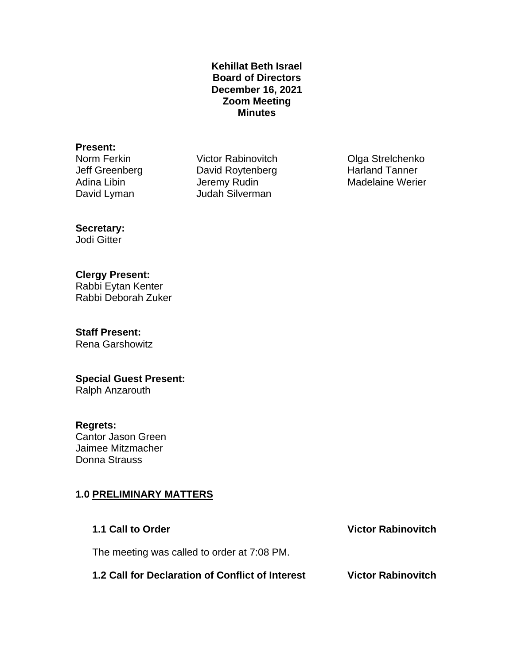### **Kehillat Beth Israel Board of Directors December 16, 2021 Zoom Meeting Minutes**

### **Present:**

Norm Ferkin **Victor Rabinovitch** Olga Strelchenko Jeff Greenberg David Roytenberg Harland Tanner Adina Libin **Jeremy Rudin** Madelaine Werier David Lyman Judah Silverman

# **Secretary:**

Jodi Gitter

# **Clergy Present:**

Rabbi Eytan Kenter Rabbi Deborah Zuker

# **Staff Present:**

Rena Garshowitz

# **Special Guest Present:**

Ralph Anzarouth

### **Regrets:**

Cantor Jason Green Jaimee Mitzmacher Donna Strauss

# **1.0 PRELIMINARY MATTERS**

**1.1 Call to Order Victor Rabinovitch** The meeting was called to order at 7:08 PM. **1.2 Call for Declaration of Conflict of Interest Victor Rabinovitch**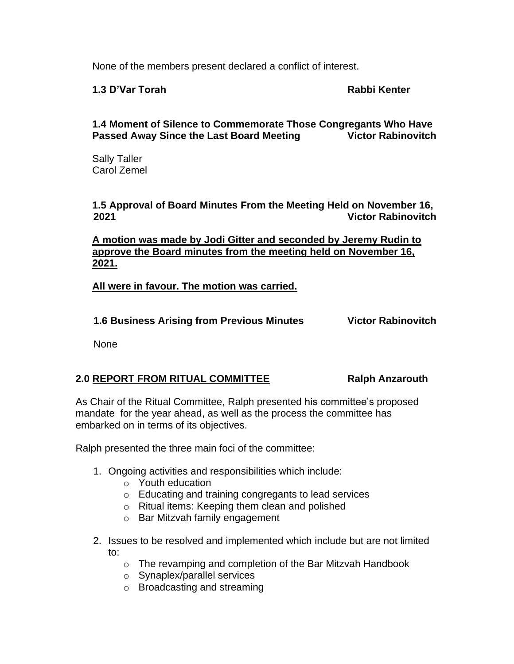None of the members present declared a conflict of interest.

**1.3 D'Var Torah Rabbi Kenter**

**1.4 Moment of Silence to Commemorate Those Congregants Who Have Passed Away Since the Last Board Meeting Victor Rabinovitch**

Sally Taller Carol Zemel

**1.5 Approval of Board Minutes From the Meeting Held on November 16, 2021 Victor Rabinovitch**

**A motion was made by Jodi Gitter and seconded by Jeremy Rudin to approve the Board minutes from the meeting held on November 16, 2021.**

**All were in favour. The motion was carried.**

**1.6 Business Arising from Previous Minutes Victor Rabinovitch**

None

### **2.0 REPORT FROM RITUAL COMMITTEE Ralph Anzarouth**

As Chair of the Ritual Committee, Ralph presented his committee's proposed mandate for the year ahead, as well as the process the committee has embarked on in terms of its objectives.

Ralph presented the three main foci of the committee:

- 1. Ongoing activities and responsibilities which include:
	- o Youth education
	- o Educating and training congregants to lead services
	- o Ritual items: Keeping them clean and polished
	- o Bar Mitzvah family engagement
- 2. Issues to be resolved and implemented which include but are not limited to:
	- o The revamping and completion of the Bar Mitzvah Handbook
	- o Synaplex/parallel services
	- o Broadcasting and streaming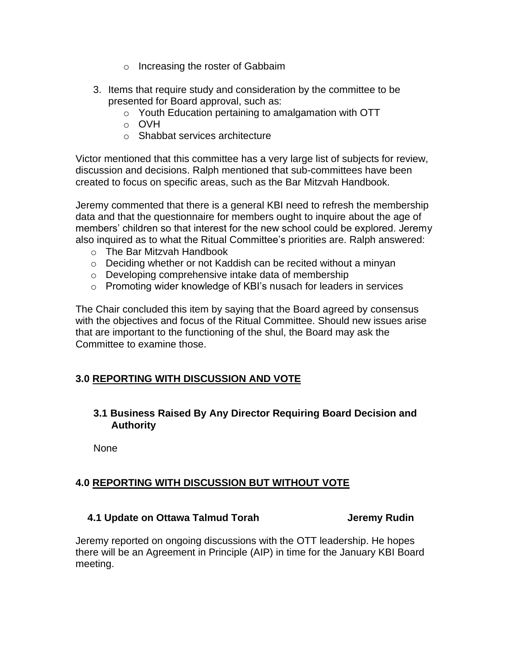- o Increasing the roster of Gabbaim
- 3. Items that require study and consideration by the committee to be presented for Board approval, such as:
	- o Youth Education pertaining to amalgamation with OTT
	- o OVH
	- o Shabbat services architecture

Victor mentioned that this committee has a very large list of subjects for review, discussion and decisions. Ralph mentioned that sub-committees have been created to focus on specific areas, such as the Bar Mitzvah Handbook.

Jeremy commented that there is a general KBI need to refresh the membership data and that the questionnaire for members ought to inquire about the age of members' children so that interest for the new school could be explored. Jeremy also inquired as to what the Ritual Committee's priorities are. Ralph answered:

- o The Bar Mitzvah Handbook
- o Deciding whether or not Kaddish can be recited without a minyan
- o Developing comprehensive intake data of membership
- o Promoting wider knowledge of KBI's nusach for leaders in services

The Chair concluded this item by saying that the Board agreed by consensus with the objectives and focus of the Ritual Committee. Should new issues arise that are important to the functioning of the shul, the Board may ask the Committee to examine those.

# **3.0 REPORTING WITH DISCUSSION AND VOTE**

# **3.1 Business Raised By Any Director Requiring Board Decision and Authority**

None

# **4.0 REPORTING WITH DISCUSSION BUT WITHOUT VOTE**

# **4.1 Update on Ottawa Talmud Torah Gramman Supering Superior Superior Superior Superior Additional Additional A**

Jeremy reported on ongoing discussions with the OTT leadership. He hopes there will be an Agreement in Principle (AIP) in time for the January KBI Board meeting.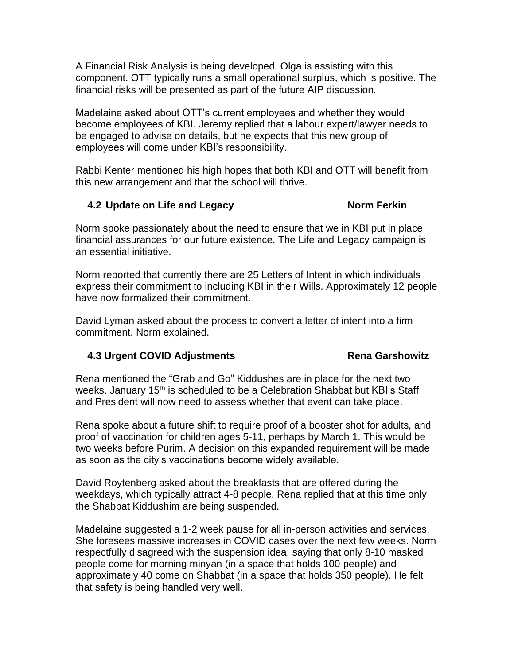A Financial Risk Analysis is being developed. Olga is assisting with this component. OTT typically runs a small operational surplus, which is positive. The financial risks will be presented as part of the future AIP discussion.

Madelaine asked about OTT's current employees and whether they would become employees of KBI. Jeremy replied that a labour expert/lawyer needs to be engaged to advise on details, but he expects that this new group of employees will come under KBI's responsibility.

Rabbi Kenter mentioned his high hopes that both KBI and OTT will benefit from this new arrangement and that the school will thrive.

# **4.2 Update on Life and Legacy Norm Ferkin**

Norm spoke passionately about the need to ensure that we in KBI put in place financial assurances for our future existence. The Life and Legacy campaign is an essential initiative.

Norm reported that currently there are 25 Letters of Intent in which individuals express their commitment to including KBI in their Wills. Approximately 12 people have now formalized their commitment.

David Lyman asked about the process to convert a letter of intent into a firm commitment. Norm explained.

# **4.3 Urgent COVID Adjustments Rena Garshowitz**

Rena mentioned the "Grab and Go" Kiddushes are in place for the next two weeks. January 15<sup>th</sup> is scheduled to be a Celebration Shabbat but KBI's Staff and President will now need to assess whether that event can take place.

Rena spoke about a future shift to require proof of a booster shot for adults, and proof of vaccination for children ages 5-11, perhaps by March 1. This would be two weeks before Purim. A decision on this expanded requirement will be made as soon as the city's vaccinations become widely available.

David Roytenberg asked about the breakfasts that are offered during the weekdays, which typically attract 4-8 people. Rena replied that at this time only the Shabbat Kiddushim are being suspended.

Madelaine suggested a 1-2 week pause for all in-person activities and services. She foresees massive increases in COVID cases over the next few weeks. Norm respectfully disagreed with the suspension idea, saying that only 8-10 masked people come for morning minyan (in a space that holds 100 people) and approximately 40 come on Shabbat (in a space that holds 350 people). He felt that safety is being handled very well.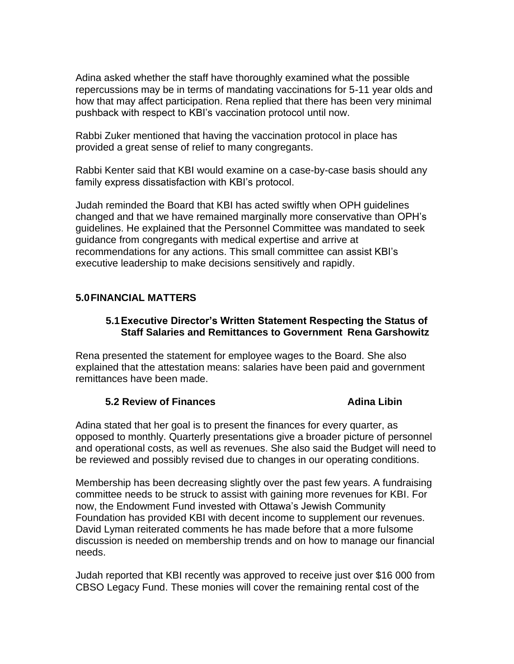Adina asked whether the staff have thoroughly examined what the possible repercussions may be in terms of mandating vaccinations for 5-11 year olds and how that may affect participation. Rena replied that there has been very minimal pushback with respect to KBI's vaccination protocol until now.

Rabbi Zuker mentioned that having the vaccination protocol in place has provided a great sense of relief to many congregants.

Rabbi Kenter said that KBI would examine on a case-by-case basis should any family express dissatisfaction with KBI's protocol.

Judah reminded the Board that KBI has acted swiftly when OPH guidelines changed and that we have remained marginally more conservative than OPH's guidelines. He explained that the Personnel Committee was mandated to seek guidance from congregants with medical expertise and arrive at recommendations for any actions. This small committee can assist KBI's executive leadership to make decisions sensitively and rapidly.

# **5.0FINANCIAL MATTERS**

### **5.1Executive Director's Written Statement Respecting the Status of Staff Salaries and Remittances to Government Rena Garshowitz**

Rena presented the statement for employee wages to the Board. She also explained that the attestation means: salaries have been paid and government remittances have been made.

### **5.2 Review of Finances Adina Libin Adina Libin**

Adina stated that her goal is to present the finances for every quarter, as opposed to monthly. Quarterly presentations give a broader picture of personnel and operational costs, as well as revenues. She also said the Budget will need to be reviewed and possibly revised due to changes in our operating conditions.

Membership has been decreasing slightly over the past few years. A fundraising committee needs to be struck to assist with gaining more revenues for KBI. For now, the Endowment Fund invested with Ottawa's Jewish Community Foundation has provided KBI with decent income to supplement our revenues. David Lyman reiterated comments he has made before that a more fulsome discussion is needed on membership trends and on how to manage our financial needs.

Judah reported that KBI recently was approved to receive just over \$16 000 from CBSO Legacy Fund. These monies will cover the remaining rental cost of the